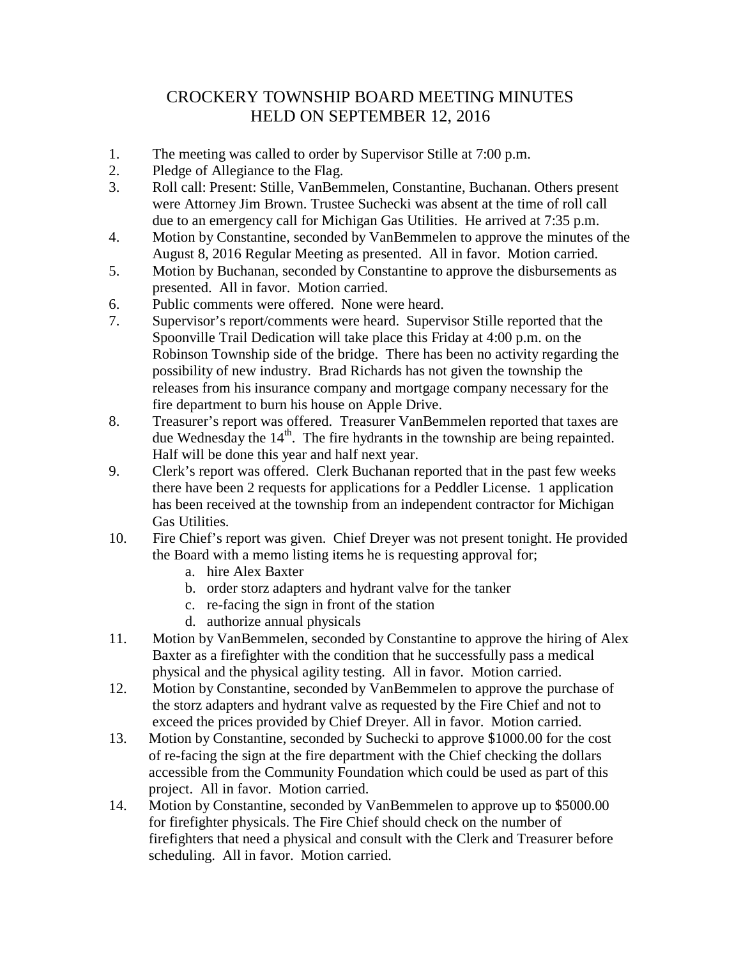## CROCKERY TOWNSHIP BOARD MEETING MINUTES HELD ON SEPTEMBER 12, 2016

- 1. The meeting was called to order by Supervisor Stille at 7:00 p.m.
- 2. Pledge of Allegiance to the Flag.
- 3. Roll call: Present: Stille, VanBemmelen, Constantine, Buchanan. Others present were Attorney Jim Brown. Trustee Suchecki was absent at the time of roll call due to an emergency call for Michigan Gas Utilities. He arrived at 7:35 p.m.
- 4. Motion by Constantine, seconded by VanBemmelen to approve the minutes of the August 8, 2016 Regular Meeting as presented. All in favor. Motion carried.
- 5. Motion by Buchanan, seconded by Constantine to approve the disbursements as presented. All in favor. Motion carried.
- 6. Public comments were offered. None were heard.
- 7. Supervisor's report/comments were heard. Supervisor Stille reported that the Spoonville Trail Dedication will take place this Friday at 4:00 p.m. on the Robinson Township side of the bridge. There has been no activity regarding the possibility of new industry. Brad Richards has not given the township the releases from his insurance company and mortgage company necessary for the fire department to burn his house on Apple Drive.
- 8. Treasurer's report was offered. Treasurer VanBemmelen reported that taxes are due Wednesday the  $14<sup>th</sup>$ . The fire hydrants in the township are being repainted. Half will be done this year and half next year.
- 9. Clerk's report was offered. Clerk Buchanan reported that in the past few weeks there have been 2 requests for applications for a Peddler License. 1 application has been received at the township from an independent contractor for Michigan Gas Utilities.
- 10. Fire Chief's report was given. Chief Dreyer was not present tonight. He provided the Board with a memo listing items he is requesting approval for;
	- a. hire Alex Baxter
	- b. order storz adapters and hydrant valve for the tanker
	- c. re-facing the sign in front of the station
	- d. authorize annual physicals
- 11. Motion by VanBemmelen, seconded by Constantine to approve the hiring of Alex Baxter as a firefighter with the condition that he successfully pass a medical physical and the physical agility testing. All in favor. Motion carried.
- 12. Motion by Constantine, seconded by VanBemmelen to approve the purchase of the storz adapters and hydrant valve as requested by the Fire Chief and not to exceed the prices provided by Chief Dreyer. All in favor. Motion carried.
- 13. Motion by Constantine, seconded by Suchecki to approve \$1000.00 for the cost of re-facing the sign at the fire department with the Chief checking the dollars accessible from the Community Foundation which could be used as part of this project. All in favor. Motion carried.
- 14. Motion by Constantine, seconded by VanBemmelen to approve up to \$5000.00 for firefighter physicals. The Fire Chief should check on the number of firefighters that need a physical and consult with the Clerk and Treasurer before scheduling. All in favor. Motion carried.